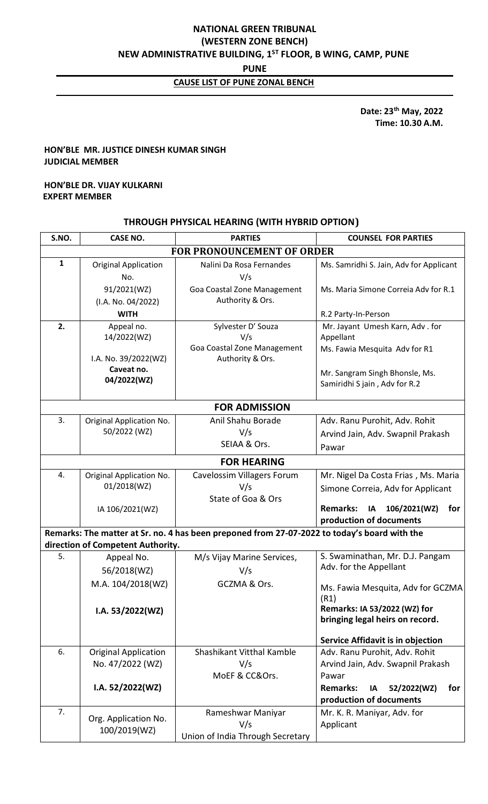# **NATIONAL GREEN TRIBUNAL (WESTERN ZONE BENCH) NEW ADMINISTRATIVE BUILDING, 1ST FLOOR, B WING, CAMP, PUNE**

**PUNE**

# **CAUSE LIST OF PUNE ZONAL BENCH**

 **Date: 23th May, 2022 Time: 10.30 A.M.**

#### **HON'BLE MR. JUSTICE DINESH KUMAR SINGH JUDICIAL MEMBER**

#### **HON'BLE DR. VIJAY KULKARNI EXPERT MEMBER**

### **THROUGH PHYSICAL HEARING (WITH HYBRID OPTION)**

| S.NO.                | <b>CASE NO.</b>                   | <b>PARTIES</b>                                                                               | <b>COUNSEL FOR PARTIES</b>                                                |  |  |
|----------------------|-----------------------------------|----------------------------------------------------------------------------------------------|---------------------------------------------------------------------------|--|--|
|                      |                                   | <b>FOR PRONOUNCEMENT OF ORDER</b>                                                            |                                                                           |  |  |
| $\mathbf{1}$         | <b>Original Application</b>       | Nalini Da Rosa Fernandes                                                                     | Ms. Samridhi S. Jain, Adv for Applicant                                   |  |  |
|                      | No.                               | V/s                                                                                          |                                                                           |  |  |
|                      | 91/2021(WZ)                       | Goa Coastal Zone Management                                                                  | Ms. Maria Simone Correia Adv for R.1                                      |  |  |
|                      | (I.A. No. 04/2022)                | Authority & Ors.                                                                             |                                                                           |  |  |
|                      | <b>WITH</b>                       |                                                                                              | R.2 Party-In-Person                                                       |  |  |
| 2.                   | Appeal no.                        | Sylvester D' Souza                                                                           | Mr. Jayant Umesh Karn, Adv. for                                           |  |  |
|                      | 14/2022(WZ)                       | V/s                                                                                          | Appellant                                                                 |  |  |
|                      | I.A. No. 39/2022(WZ)              | Goa Coastal Zone Management<br>Authority & Ors.                                              | Ms. Fawia Mesquita Adv for R1                                             |  |  |
|                      | Caveat no.                        |                                                                                              | Mr. Sangram Singh Bhonsle, Ms.                                            |  |  |
|                      | 04/2022(WZ)                       |                                                                                              | Samiridhi S jain, Adv for R.2                                             |  |  |
| <b>FOR ADMISSION</b> |                                   |                                                                                              |                                                                           |  |  |
| 3.                   | Original Application No.          | Anil Shahu Borade                                                                            | Adv. Ranu Purohit, Adv. Rohit                                             |  |  |
|                      | 50/2022 (WZ)                      | V/s                                                                                          | Arvind Jain, Adv. Swapnil Prakash                                         |  |  |
|                      |                                   | SEIAA & Ors.                                                                                 | Pawar                                                                     |  |  |
|                      |                                   | <b>FOR HEARING</b>                                                                           |                                                                           |  |  |
| 4.                   | Original Application No.          | Cavelossim Villagers Forum                                                                   | Mr. Nigel Da Costa Frias, Ms. Maria                                       |  |  |
|                      | 01/2018(WZ)                       | V/s                                                                                          | Simone Correia, Adv for Applicant                                         |  |  |
|                      |                                   | State of Goa & Ors                                                                           |                                                                           |  |  |
|                      | IA 106/2021(WZ)                   |                                                                                              | <b>Remarks:</b><br>106/2021(WZ)<br>for<br>IA                              |  |  |
|                      |                                   |                                                                                              | production of documents                                                   |  |  |
|                      | direction of Competent Authority. | Remarks: The matter at Sr. no. 4 has been preponed from 27-07-2022 to today's board with the |                                                                           |  |  |
| 5.                   | Appeal No.                        | M/s Vijay Marine Services,                                                                   | S. Swaminathan, Mr. D.J. Pangam                                           |  |  |
|                      | 56/2018(WZ)                       | V/s                                                                                          | Adv. for the Appellant                                                    |  |  |
|                      | M.A. 104/2018(WZ)                 | GCZMA & Ors.                                                                                 |                                                                           |  |  |
|                      |                                   |                                                                                              | Ms. Fawia Mesquita, Adv for GCZMA<br>(R1)                                 |  |  |
|                      | I.A. $53/2022(WZ)$                |                                                                                              | Remarks: IA 53/2022 (WZ) for                                              |  |  |
|                      |                                   |                                                                                              | bringing legal heirs on record.                                           |  |  |
|                      |                                   |                                                                                              |                                                                           |  |  |
| 6.                   | <b>Original Application</b>       | Shashikant Vitthal Kamble                                                                    | <b>Service Affidavit is in objection</b><br>Adv. Ranu Purohit, Adv. Rohit |  |  |
|                      | No. 47/2022 (WZ)                  | V/s                                                                                          | Arvind Jain, Adv. Swapnil Prakash                                         |  |  |
|                      |                                   | MoEF & CC&Ors.                                                                               | Pawar                                                                     |  |  |
|                      | I.A. 52/2022(WZ)                  |                                                                                              | <b>Remarks:</b><br>52/2022(WZ)<br>for<br>IA                               |  |  |
|                      |                                   |                                                                                              | production of documents                                                   |  |  |
| 7.                   |                                   | Rameshwar Maniyar                                                                            | Mr. K. R. Maniyar, Adv. for                                               |  |  |
|                      | Org. Application No.              | V/s                                                                                          | Applicant                                                                 |  |  |
|                      | 100/2019(WZ)                      | Union of India Through Secretary                                                             |                                                                           |  |  |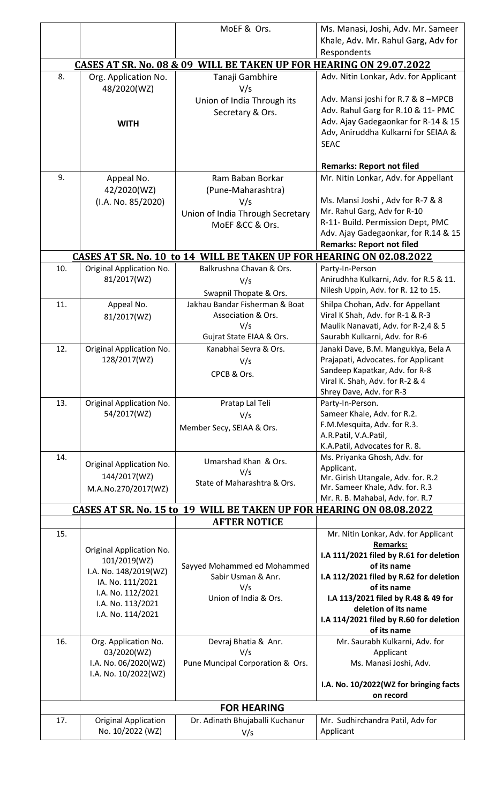|                                                                     |                                          | MoEF & Ors.                                                                                        | Ms. Manasi, Joshi, Adv. Mr. Sameer                                         |  |  |
|---------------------------------------------------------------------|------------------------------------------|----------------------------------------------------------------------------------------------------|----------------------------------------------------------------------------|--|--|
|                                                                     |                                          |                                                                                                    | Khale, Adv. Mr. Rahul Garg, Adv for<br>Respondents                         |  |  |
| CASES AT SR. No. 08 & 09 WILL BE TAKEN UP FOR HEARING ON 29.07.2022 |                                          |                                                                                                    |                                                                            |  |  |
| 8.                                                                  | Org. Application No.<br>48/2020(WZ)      | Tanaji Gambhire<br>V/s                                                                             | Adv. Nitin Lonkar, Adv. for Applicant                                      |  |  |
|                                                                     |                                          | Union of India Through its<br>Secretary & Ors.                                                     | Adv. Mansi joshi for R.7 & 8-MPCB<br>Adv. Rahul Garg for R.10 & 11- PMC    |  |  |
|                                                                     | <b>WITH</b>                              |                                                                                                    | Adv. Ajay Gadegaonkar for R-14 & 15                                        |  |  |
|                                                                     |                                          |                                                                                                    | Adv, Aniruddha Kulkarni for SEIAA &<br><b>SEAC</b>                         |  |  |
|                                                                     |                                          |                                                                                                    | <b>Remarks: Report not filed</b>                                           |  |  |
| 9.                                                                  | Appeal No.                               | Ram Baban Borkar                                                                                   | Mr. Nitin Lonkar, Adv. for Appellant                                       |  |  |
|                                                                     | 42/2020(WZ)<br>(I.A. No. 85/2020)        | (Pune-Maharashtra)<br>V/s                                                                          | Ms. Mansi Joshi, Adv for R-7 & 8                                           |  |  |
|                                                                     |                                          | Union of India Through Secretary                                                                   | Mr. Rahul Garg, Adv for R-10                                               |  |  |
|                                                                     |                                          | MoEF &CC & Ors.                                                                                    | R-11- Build. Permission Dept, PMC                                          |  |  |
|                                                                     |                                          |                                                                                                    | Adv. Ajay Gadegaonkar, for R.14 & 15<br><b>Remarks: Report not filed</b>   |  |  |
|                                                                     |                                          | <b>CASES AT SR. No. 10 to 14 WILL BE TAKEN UP FOR HEARING ON 02.08.2022</b>                        |                                                                            |  |  |
| 10.                                                                 | Original Application No.                 | Balkrushna Chavan & Ors.                                                                           | Party-In-Person                                                            |  |  |
|                                                                     | 81/2017(WZ)                              | V/s                                                                                                | Anirudhha Kulkarni, Adv. for R.5 & 11.                                     |  |  |
|                                                                     |                                          | Swapnil Thopate & Ors.                                                                             | Nilesh Uppin, Adv. for R. 12 to 15.                                        |  |  |
| 11.                                                                 | Appeal No.<br>81/2017(WZ)                | Jakhau Bandar Fisherman & Boat<br>Association & Ors.                                               | Shilpa Chohan, Adv. for Appellant<br>Viral K Shah, Adv. for R-1 & R-3      |  |  |
|                                                                     |                                          | V/s                                                                                                | Maulik Nanavati, Adv. for R-2,4 & 5                                        |  |  |
|                                                                     |                                          | Gujrat State EIAA & Ors.                                                                           | Saurabh Kulkarni, Adv. for R-6                                             |  |  |
| 12.                                                                 | Original Application No.<br>128/2017(WZ) | Kanabhai Sevra & Ors.<br>V/s                                                                       | Janaki Dave, B.M. Mangukiya, Bela A<br>Prajapati, Advocates. for Applicant |  |  |
|                                                                     |                                          | CPCB & Ors.                                                                                        | Sandeep Kapatkar, Adv. for R-8                                             |  |  |
|                                                                     |                                          |                                                                                                    | Viral K. Shah, Adv. for R-2 & 4                                            |  |  |
| 13.                                                                 | Original Application No.                 | Pratap Lal Teli                                                                                    | Shrey Dave, Adv. for R-3<br>Party-In-Person.                               |  |  |
|                                                                     | 54/2017(WZ)                              | V/s                                                                                                | Sameer Khale, Adv. for R.2.                                                |  |  |
|                                                                     |                                          | Member Secy, SEIAA & Ors.                                                                          | F.M.Mesquita, Adv. for R.3.                                                |  |  |
|                                                                     |                                          |                                                                                                    | A.R.Patil, V.A.Patil,<br>K.A.Patil, Advocates for R. 8.                    |  |  |
| 14.                                                                 |                                          | Umarshad Khan & Ors.                                                                               | Ms. Priyanka Ghosh, Adv. for                                               |  |  |
|                                                                     | Original Application No.<br>144/2017(WZ) | V/s                                                                                                | Applicant.<br>Mr. Girish Utangale, Adv. for. R.2                           |  |  |
|                                                                     | M.A.No.270/2017(WZ)                      | State of Maharashtra & Ors.                                                                        | Mr. Sameer Khale, Adv. for. R.3                                            |  |  |
|                                                                     |                                          |                                                                                                    | Mr. R. B. Mahabal, Adv. for. R.7                                           |  |  |
|                                                                     |                                          | <b>CASES AT SR. No. 15 to 19 WILL BE TAKEN UP FOR HEARING ON 08.08.2022</b><br><b>AFTER NOTICE</b> |                                                                            |  |  |
| 15.                                                                 |                                          |                                                                                                    | Mr. Nitin Lonkar, Adv. for Applicant                                       |  |  |
|                                                                     | Original Application No.                 |                                                                                                    | <b>Remarks:</b>                                                            |  |  |
|                                                                     | 101/2019(WZ)                             | Sayyed Mohammed ed Mohammed                                                                        | I.A 111/2021 filed by R.61 for deletion<br>of its name                     |  |  |
|                                                                     | I.A. No. 148/2019(WZ)                    | Sabir Usman & Anr.                                                                                 | I.A 112/2021 filed by R.62 for deletion                                    |  |  |
|                                                                     | IA. No. 111/2021<br>I.A. No. 112/2021    | V/s                                                                                                | of its name                                                                |  |  |
|                                                                     | I.A. No. 113/2021                        | Union of India & Ors.                                                                              | I.A 113/2021 filed by R.48 & 49 for<br>deletion of its name                |  |  |
|                                                                     | I.A. No. 114/2021                        |                                                                                                    | I.A 114/2021 filed by R.60 for deletion                                    |  |  |
|                                                                     |                                          |                                                                                                    | of its name                                                                |  |  |
| 16.                                                                 | Org. Application No.<br>03/2020(WZ)      | Devraj Bhatia & Anr.<br>V/s                                                                        | Mr. Saurabh Kulkarni, Adv. for<br>Applicant                                |  |  |
|                                                                     | I.A. No. 06/2020(WZ)                     | Pune Muncipal Corporation & Ors.                                                                   | Ms. Manasi Joshi, Adv.                                                     |  |  |
|                                                                     | I.A. No. 10/2022(WZ)                     |                                                                                                    |                                                                            |  |  |
|                                                                     |                                          |                                                                                                    | I.A. No. 10/2022(WZ for bringing facts<br>on record                        |  |  |
| <b>FOR HEARING</b>                                                  |                                          |                                                                                                    |                                                                            |  |  |
| 17.                                                                 | <b>Original Application</b>              | Dr. Adinath Bhujaballi Kuchanur                                                                    | Mr. Sudhirchandra Patil, Adv for                                           |  |  |
|                                                                     | No. 10/2022 (WZ)                         | V/s                                                                                                | Applicant                                                                  |  |  |